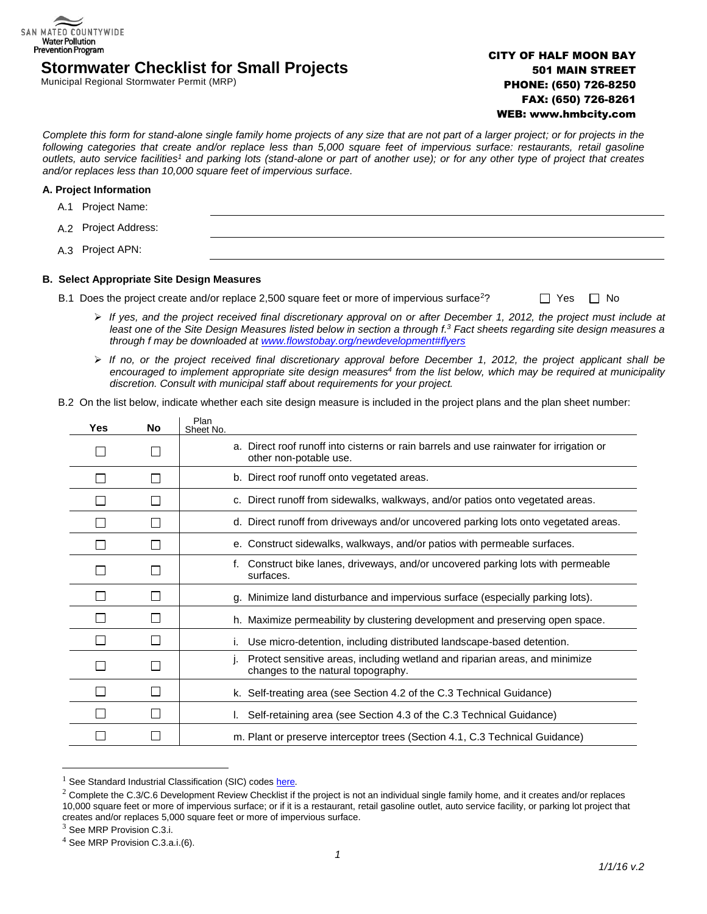# **Stormwater Checklist for Small Projects**

Municipal Regional Stormwater Permit (MRP)

## CITY OF HALF MOON BAY 501 MAIN STREET PHONE: (650) 726-8250 FAX: (650) 726-8261 WEB: www.hmbcity.com

*Complete this form for stand-alone single family home projects of any size that are not part of a larger project; or for projects in the following categories that create and/or replace less than 5,000 square feet of impervious surface: restaurants, retail gasoline outlets, auto service facilities<sup>1</sup> and parking lots (stand-alone or part of another use); or for any other type of project that creates and/or replaces less than 10,000 square feet of impervious surface.*

#### **A. Project Information**

SAN MATEO COUNTYWIDE **Water Pollution Prevention Program** 

> A.1 Project Name: A.2 Project Address: A.3 Project APN:

#### **B. Select Appropriate Site Design Measures**

- B.1 Does the project create and/or replace 2,500 square feet or more of impervious surface<sup>2</sup>?  $\square$  Yes  $\square$  No
	- ➢ *If yes, and the project received final discretionary approval on or after December 1, 2012, the project must include at least one of the Site Design Measures listed below in section a through f. <sup>3</sup> Fact sheets regarding site design measures a through f may be downloaded at [www.flowstobay.org/newdevelopment#flyers](http://www.flowstobay.org/newdevelopment#flyers)*
	- ➢ *If no, or the project received final discretionary approval before December 1, 2012, the project applicant shall be encouraged to implement appropriate site design measures<sup>4</sup> from the list below, which may be required at municipality discretion. Consult with municipal staff about requirements for your project.*
- B.2 On the list below, indicate whether each site design measure is included in the project plans and the plan sheet number:

| Yes | <b>No</b> | Plan<br>Sheet No.                                                                                                 |
|-----|-----------|-------------------------------------------------------------------------------------------------------------------|
|     |           | a. Direct roof runoff into cisterns or rain barrels and use rainwater for irrigation or<br>other non-potable use. |
|     |           | b. Direct roof runoff onto vegetated areas.                                                                       |
|     |           | c. Direct runoff from sidewalks, walkways, and/or patios onto vegetated areas.                                    |
|     |           | d. Direct runoff from driveways and/or uncovered parking lots onto vegetated areas.                               |
|     |           | e. Construct sidewalks, walkways, and/or patios with permeable surfaces.                                          |
|     |           | Construct bike lanes, driveways, and/or uncovered parking lots with permeable<br>f.<br>surfaces.                  |
|     |           | g. Minimize land disturbance and impervious surface (especially parking lots).                                    |
|     |           | h. Maximize permeability by clustering development and preserving open space.                                     |
|     |           | Use micro-detention, including distributed landscape-based detention.                                             |
|     |           | Protect sensitive areas, including wetland and riparian areas, and minimize<br>changes to the natural topography. |
|     |           | k. Self-treating area (see Section 4.2 of the C.3 Technical Guidance)                                             |
|     |           | Self-retaining area (see Section 4.3 of the C.3 Technical Guidance)                                               |
|     |           | m. Plant or preserve interceptor trees (Section 4.1, C.3 Technical Guidance)                                      |

 $1$  See Standard Industrial Classification (SIC) code[s here.](http://www.flowstobay.org/documents/business/new-development/Notice_to_Applicants-LID_FINAL.doc)

 $\overline{a}$ 

 $2$  Complete the C.3/C.6 Development Review Checklist if the project is not an individual single family home, and it creates and/or replaces 10,000 square feet or more of impervious surface; or if it is a restaurant, retail gasoline outlet, auto service facility, or parking lot project that creates and/or replaces 5,000 square feet or more of impervious surface.

<sup>&</sup>lt;sup>3</sup> See MRP Provision C.3.i.

<sup>4</sup> See MRP Provision C.3.a.i.(6).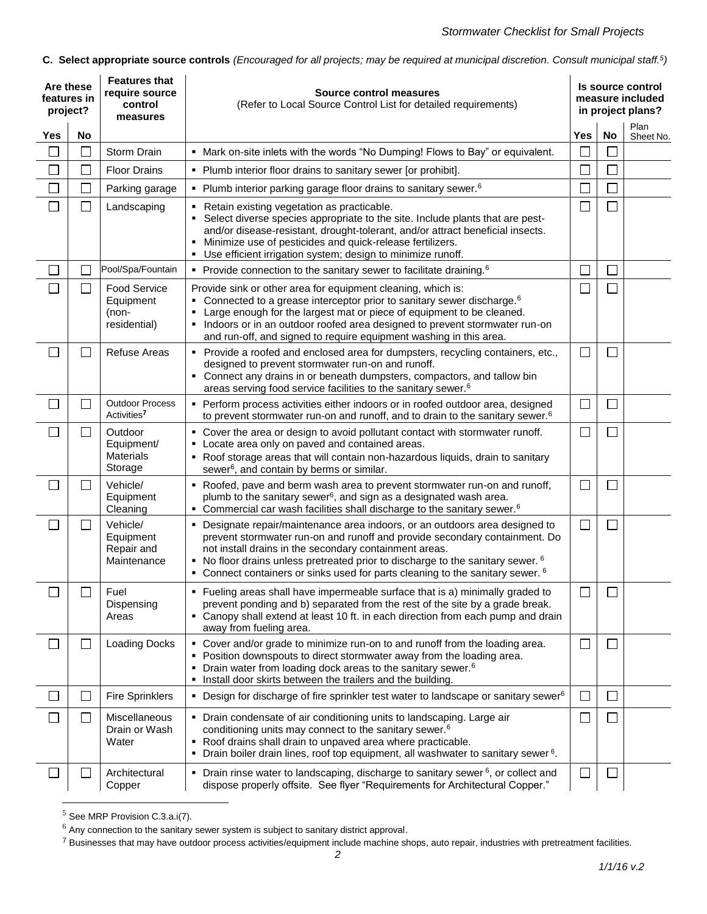**C. Select appropriate source controls** *(Encouraged for all projects; may be required at municipal discretion. Consult municipal staff.<sup>5</sup> )*

| Are these<br>features in<br>project? |                             | <b>Features that</b><br>require source<br>control<br>measures | <b>Source control measures</b><br>(Refer to Local Source Control List for detailed requirements)                                                                                                                                                                                                                                                                                                                    |        | Is source control<br>measure included<br>in project plans? |                   |  |
|--------------------------------------|-----------------------------|---------------------------------------------------------------|---------------------------------------------------------------------------------------------------------------------------------------------------------------------------------------------------------------------------------------------------------------------------------------------------------------------------------------------------------------------------------------------------------------------|--------|------------------------------------------------------------|-------------------|--|
| Yes                                  | No                          |                                                               |                                                                                                                                                                                                                                                                                                                                                                                                                     | Yes    | No                                                         | Plan<br>Sheet No. |  |
|                                      |                             | Storm Drain                                                   | • Mark on-site inlets with the words "No Dumping! Flows to Bay" or equivalent.                                                                                                                                                                                                                                                                                                                                      |        |                                                            |                   |  |
| L                                    | $\mathbb{R}^n$              | <b>Floor Drains</b>                                           | • Plumb interior floor drains to sanitary sewer [or prohibit].                                                                                                                                                                                                                                                                                                                                                      |        | $\Box$                                                     |                   |  |
|                                      |                             | Parking garage                                                | • Plumb interior parking garage floor drains to sanitary sewer. <sup>6</sup>                                                                                                                                                                                                                                                                                                                                        |        | J.                                                         |                   |  |
| Г                                    | $\mathcal{L}_{\mathcal{A}}$ | Landscaping                                                   | • Retain existing vegetation as practicable.<br>Select diverse species appropriate to the site. Include plants that are pest-<br>and/or disease-resistant, drought-tolerant, and/or attract beneficial insects.<br>Minimize use of pesticides and quick-release fertilizers.<br>Use efficient irrigation system; design to minimize runoff.                                                                         | $\Box$ | $\Box$                                                     |                   |  |
|                                      |                             | Pool/Spa/Fountain                                             | • Provide connection to the sanitary sewer to facilitate draining. <sup>6</sup>                                                                                                                                                                                                                                                                                                                                     |        | $\Box$                                                     |                   |  |
|                                      | $\Box$                      | <b>Food Service</b><br>Equipment<br>(non-<br>residential)     | Provide sink or other area for equipment cleaning, which is:<br>• Connected to a grease interceptor prior to sanitary sewer discharge. <sup>6</sup><br>Large enough for the largest mat or piece of equipment to be cleaned.<br>٠<br>• Indoors or in an outdoor roofed area designed to prevent stormwater run-on<br>and run-off, and signed to require equipment washing in this area.                             |        | $\Box$                                                     |                   |  |
|                                      |                             | Refuse Areas                                                  | • Provide a roofed and enclosed area for dumpsters, recycling containers, etc.,<br>designed to prevent stormwater run-on and runoff.<br>• Connect any drains in or beneath dumpsters, compactors, and tallow bin<br>areas serving food service facilities to the sanitary sewer. <sup>6</sup>                                                                                                                       | $\Box$ | $\Box$                                                     |                   |  |
| $\Box$                               |                             | <b>Outdoor Process</b><br>Activities <sup>7</sup>             | • Perform process activities either indoors or in roofed outdoor area, designed<br>to prevent stormwater run-on and runoff, and to drain to the sanitary sewer. <sup>6</sup>                                                                                                                                                                                                                                        |        | $\Box$                                                     |                   |  |
| L                                    | $\mathcal{L}$               | Outdoor<br>Equipment/<br><b>Materials</b><br>Storage          | • Cover the area or design to avoid pollutant contact with stormwater runoff.<br>• Locate area only on paved and contained areas.<br>" Roof storage areas that will contain non-hazardous liquids, drain to sanitary<br>sewer <sup>6</sup> , and contain by berms or similar.                                                                                                                                       | $\Box$ | $\Box$                                                     |                   |  |
| I.                                   | $\mathcal{L}$               | Vehicle/<br>Equipment<br>Cleaning                             | • Roofed, pave and berm wash area to prevent stormwater run-on and runoff,<br>plumb to the sanitary sewer <sup>6</sup> , and sign as a designated wash area.<br>• Commercial car wash facilities shall discharge to the sanitary sewer. <sup>6</sup>                                                                                                                                                                | П      | L                                                          |                   |  |
| Γ                                    |                             | Vehicle/<br>Equipment<br>Repair and<br>Maintenance            | • Designate repair/maintenance area indoors, or an outdoors area designed to<br>prevent stormwater run-on and runoff and provide secondary containment. Do<br>not install drains in the secondary containment areas.<br>• No floor drains unless pretreated prior to discharge to the sanitary sewer. <sup>6</sup><br>$\bullet$ Connect containers or sinks used for parts cleaning to the sanitary sewer. $\delta$ |        | $\Box$                                                     |                   |  |
|                                      |                             | Fuel<br>Dispensing<br>Areas                                   | Fueling areas shall have impermeable surface that is a) minimally graded to<br>prevent ponding and b) separated from the rest of the site by a grade break.<br>• Canopy shall extend at least 10 ft. in each direction from each pump and drain<br>away from fueling area.                                                                                                                                          |        | $\Box$                                                     |                   |  |
| L                                    | $\sim$                      | <b>Loading Docks</b>                                          | • Cover and/or grade to minimize run-on to and runoff from the loading area.<br>• Position downspouts to direct stormwater away from the loading area.<br>Drain water from loading dock areas to the sanitary sewer. <sup>6</sup><br>• Install door skirts between the trailers and the building.                                                                                                                   | $\Box$ | $\Box$                                                     |                   |  |
| $\Box$                               | ⊔                           | <b>Fire Sprinklers</b>                                        | • Design for discharge of fire sprinkler test water to landscape or sanitary sewer <sup>6</sup>                                                                                                                                                                                                                                                                                                                     | $\Box$ | ⊔                                                          |                   |  |
| $\Box$                               | $\Box$                      | <b>Miscellaneous</b><br>Drain or Wash<br>Water                | • Drain condensate of air conditioning units to landscaping. Large air<br>conditioning units may connect to the sanitary sewer. <sup>6</sup><br>• Roof drains shall drain to unpaved area where practicable.<br>Drain boiler drain lines, roof top equipment, all washwater to sanitary sewer <sup>6</sup> .                                                                                                        | $\Box$ | $\Box$                                                     |                   |  |
| └                                    | $\Box$                      | Architectural<br>Copper                                       | • Drain rinse water to landscaping, discharge to sanitary sewer $6$ , or collect and<br>dispose properly offsite. See flyer "Requirements for Architectural Copper."                                                                                                                                                                                                                                                | $\Box$ | $\Box$                                                     |                   |  |

<sup>5</sup> See MRP Provision C.3.a.i(7).

 $\overline{a}$ 

 $6$  Any connection to the sanitary sewer system is subject to sanitary district approval.

<sup>&</sup>lt;sup>7</sup> Businesses that may have outdoor process activities/equipment include machine shops, auto repair, industries with pretreatment facilities.